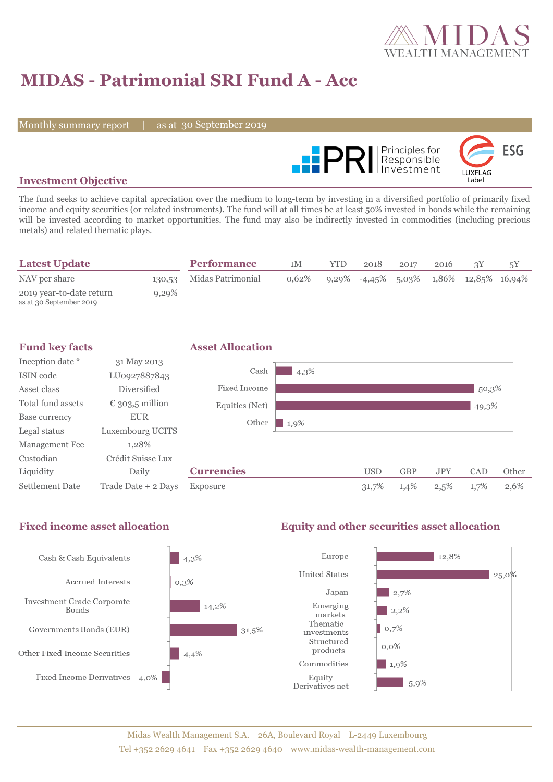

# **MIDAS - Patrimonial SRI Fund A - Acc**

Monthly summary report

30 September 2019



#### **Investment Objective**

The fund seeks to achieve capital apreciation over the medium to long-term by investing in a diversified portfolio of primarily fixed income and equity securities (or related instruments). The fund will at all times be at least 50% invested in bonds while the remaining will be invested according to market opportunities. The fund may also be indirectly invested in commodities (including precious metals) and related thematic plays.

| <b>Latest Update</b>                                |          | <b>Performance</b> | 1M    | <b>YTD</b> | 2018 | 2017 | 2016 |                                           |  |
|-----------------------------------------------------|----------|--------------------|-------|------------|------|------|------|-------------------------------------------|--|
| NAV per share                                       | 130,53   | Midas Patrimonial  | 0.62% |            |      |      |      | $9,29\%$ -4,45% 5,03% 1,86% 12,85% 16,94% |  |
| 2019 year-to-date return<br>as at 30 September 2019 | $9,29\%$ |                    |       |            |      |      |      |                                           |  |



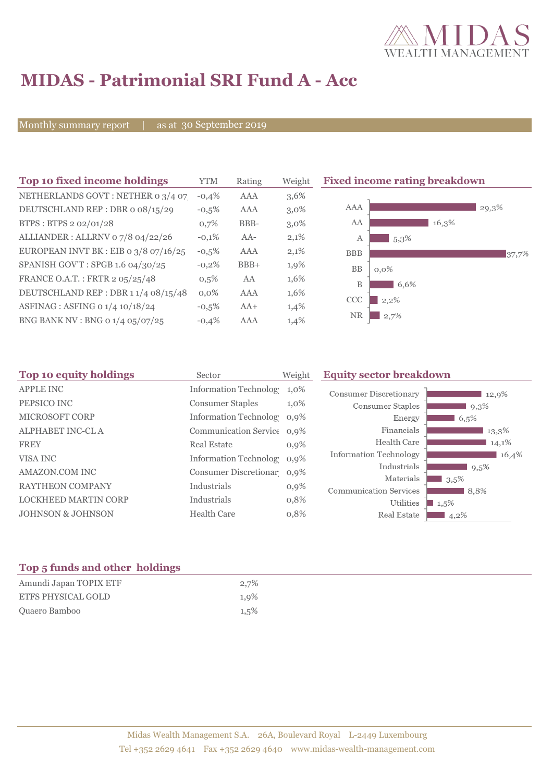

# **MIDAS - Patrimonial SRI Fund A - Acc**

Monthly summary report  $|$ 

as at 30 September 2019

| Top 10 fixed income holdings            | YTM     | Rating     | Weigh   |
|-----------------------------------------|---------|------------|---------|
| NETHERLANDS GOVT: NETHER 0 3/4 07       | $-0.4%$ | <b>AAA</b> | 3,6%    |
| DEUTSCHLAND REP: DBR o 08/15/29         | $-0.5%$ | AAA        | $3,0\%$ |
| BTPS: BTPS 2 02/01/28                   | 0,7%    | BBB-       | $3,0\%$ |
| ALLIANDER: ALLRNV 07/8 04/22/26         | $-0,1%$ | $AA-$      | 2,1%    |
| EUROPEAN INVT BK : EIB o $3/8$ 07/16/25 | $-0.5%$ | AAA        | 2,1%    |
| SPANISH GOV'T: SPGB 1.6 04/30/25        | $-0.2%$ | $BBB+$     | 1,9%    |
| FRANCE O.A.T.: FRTR 2 05/25/48          | 0.5%    | AA         | 1,6%    |
| DEUTSCHLAND REP : DBR 1 1/4 08/15/48    | $0.0\%$ | AAA        | 1,6%    |
| ASFINAG : ASFING 0 1/4 10/18/24         | $-0.5%$ | $AA+$      | 1,4%    |
| BNG BANK NV : BNG 0 1/4 05/07/25        | $-0.4%$ | AAA        | 1,4%    |

**The 10 fixed income rating breakdown** 



| Top 10 equity holdings       | Sector                     | Weight  | <b>Equity sector breakdown</b>                                 |  |  |
|------------------------------|----------------------------|---------|----------------------------------------------------------------|--|--|
| <b>APPLE INC</b>             | Information Technolog 1,0% |         | <b>Consumer Discretionary</b><br>12,9%                         |  |  |
| PEPSICO INC                  | <b>Consumer Staples</b>    | $1,0\%$ | <b>Consumer Staples</b><br>$9,3\%$                             |  |  |
| <b>MICROSOFT CORP</b>        | Information Technolog 0,9% |         | Energy<br>6,5%                                                 |  |  |
| <b>ALPHABET INC-CLA</b>      | Communication Service 0,9% |         | Financials<br>13,3%                                            |  |  |
| <b>FREY</b>                  | <b>Real Estate</b>         | 0,9%    | Health Care<br>14,1%                                           |  |  |
| VISA INC                     | Information Technolog 0,9% |         | Information Technology<br>16,4%                                |  |  |
| AMAZON.COM INC               | Consumer Discretionar 0,9% |         | Industrials<br>$9,5\%$                                         |  |  |
| <b>RAYTHEON COMPANY</b>      | Industrials                | $0,9\%$ | Materials<br>$13.5\%$<br><b>Communication Services</b><br>8,8% |  |  |
| <b>LOCKHEED MARTIN CORP</b>  | Industrials                | 0,8%    | Utilities<br>$\blacksquare$ 1,5%                               |  |  |
| <b>JOHNSON &amp; JOHNSON</b> | <b>Health Care</b>         | 0,8%    | Real Estate<br>$14,2\%$                                        |  |  |
|                              |                            |         |                                                                |  |  |

### **Top 5 funds and other holdings**

| Amundi Japan TOPIX ETF    | $2.7\%$ |
|---------------------------|---------|
| <b>ETFS PHYSICAL GOLD</b> | 1.9%    |
| Quaero Bamboo             | 1.5%    |